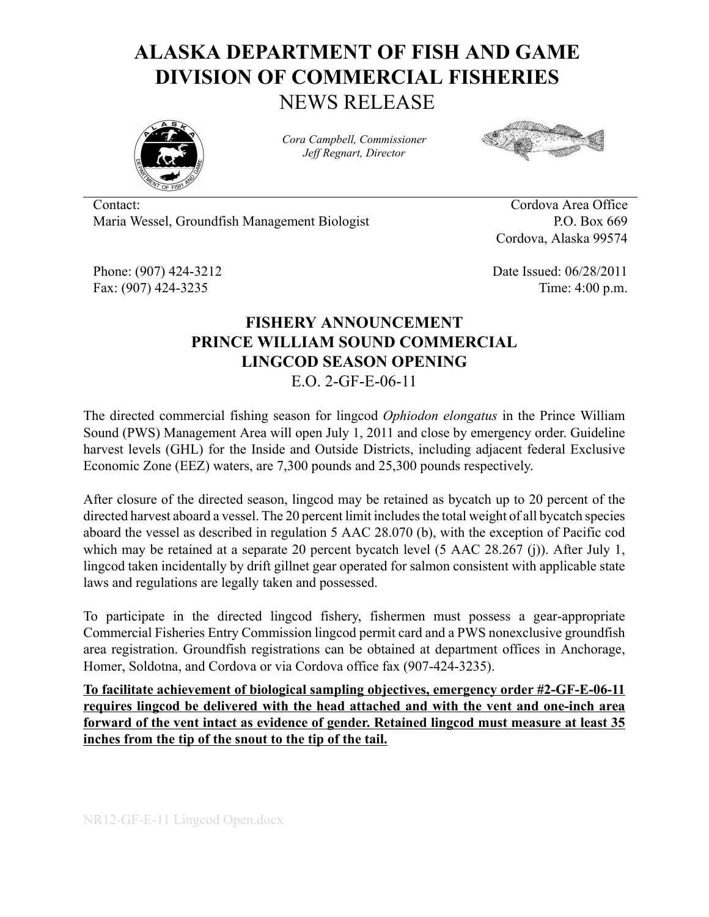## **ALASKA DEPARTMENT OF FISH AND GAME DIVISION OF COMMERCIAL FISHERIES** NEWS RELEASE



*Cora Campbell, Commissioner Jeff Regnart, Director*



Contact: Cordova Area Office Maria Wessel, Groundfish Management Biologist P.O. Box 669

Cordova, Alaska 99574

Phone: (907) 424-3212 Date Issued: 06/28/2011 Fax: (907) 424-3235 Time: 4:00 p.m.

## **FISHERY ANNOUNCEMENT PRINCE WILLIAM SOUND COMMERCIAL LINGCOD SEASON OPENING** E.O. 2-GF-E-06-11

The directed commercial fishing season for lingcod *Ophiodon elongatus* in the Prince William Sound (PWS) Management Area will open July 1, 2011 and close by emergency order. Guideline harvest levels (GHL) for the Inside and Outside Districts, including adjacent federal Exclusive Economic Zone (EEZ) waters, are 7,300 pounds and 25,300 pounds respectively.

After closure of the directed season, lingcod may be retained as bycatch up to 20 percent of the directed harvest aboard a vessel. The 20 percent limit includes the total weight of all bycatch species aboard the vessel as described in regulation 5 AAC 28.070 (b), with the exception of Pacific cod which may be retained at a separate 20 percent bycatch level (5 AAC 28.267 (j)). After July 1, lingcod taken incidentally by drift gillnet gear operated for salmon consistent with applicable state laws and regulations are legally taken and possessed.

To participate in the directed lingcod fishery, fishermen must possess a gear-appropriate Commercial Fisheries Entry Commission lingcod permit card and a PWS nonexclusive groundfish area registration. Groundfish registrations can be obtained at department offices in Anchorage, Homer, Soldotna, and Cordova or via Cordova office fax (907-424-3235).

**To facilitate achievement of biological sampling objectives, emergency order #2-GF-E-06-11 requires lingcod be delivered with the head attached and with the vent and one-inch area forward of the vent intact as evidence of gender. Retained lingcod must measure at least 35 inches from the tip of the snout to the tip of the tail.**

NR12-GF-E-11 Lingcod Open.docx